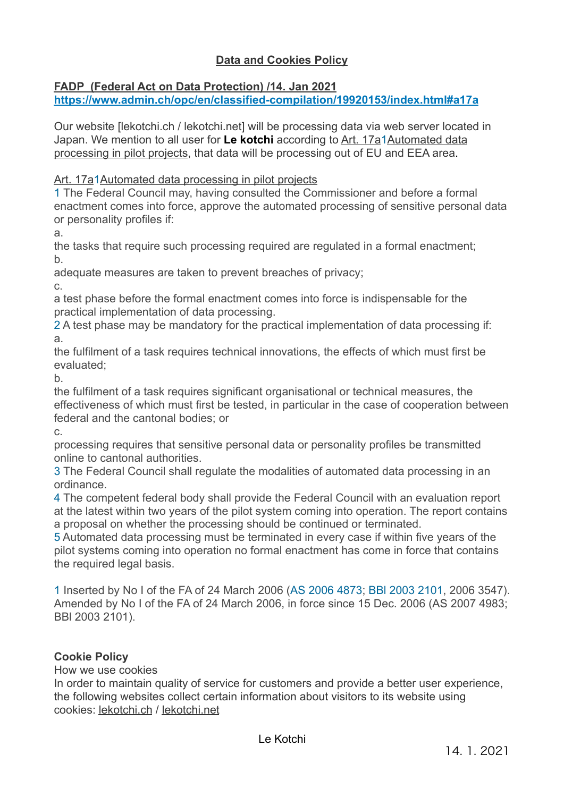# **Data and Cookies Policy**

## **FADP (Federal Act on Data Protection) /14. Jan 2021**

**<https://www.admin.ch/opc/en/classified-compilation/19920153/index.html#a17a>** 

Our website [\[lekotchi.ch](http://lekotchi.ch) / [lekotchi.net](http://lekotchi.net)] will be processing data via web server located in Japan. We mention to all user for **Le kotchi** according to [Art. 17a](https://www.admin.ch/opc/en/classified-compilation/19920153/index.html#a17a)1[Automated data](https://www.admin.ch/opc/en/classified-compilation/19920153/index.html#a17a)  [processing in pilot projects](https://www.admin.ch/opc/en/classified-compilation/19920153/index.html#a17a), that data will be processing out of EU and EEA area.

[Art. 17a1Automated data processing in pilot projects](https://www.admin.ch/opc/en/classified-compilation/19920153/index.html#a17a)

1 The Federal Council may, having consulted the Commissioner and before a formal enactment comes into force, approve the automated processing of sensitive personal data or personality profiles if:

a.

the tasks that require such processing required are regulated in a formal enactment; b.

adequate measures are taken to prevent breaches of privacy;

c.

a test phase before the formal enactment comes into force is indispensable for the practical implementation of data processing.

2 A test phase may be mandatory for the practical implementation of data processing if: a.

the fulfilment of a task requires technical innovations, the effects of which must first be evaluated;

b.

the fulfilment of a task requires significant organisational or technical measures, the effectiveness of which must first be tested, in particular in the case of cooperation between federal and the cantonal bodies; or

c.

processing requires that sensitive personal data or personality profiles be transmitted online to cantonal authorities.

3 The Federal Council shall regulate the modalities of automated data processing in an ordinance.

4 The competent federal body shall provide the Federal Council with an evaluation report at the latest within two years of the pilot system coming into operation. The report contains a proposal on whether the processing should be continued or terminated.

5 Automated data processing must be terminated in every case if within five years of the pilot systems coming into operation no formal enactment has come in force that contains the required legal basis.

1 Inserted by No I of the FA of 24 March 2006 [\(AS 2006 4873](http://www.admin.ch/ch/d/as/2006/4873.pdf); [BBl 2003 2101,](http://www.admin.ch/ch/d/ff/2003/2101.pdf) 2006 3547). Amended by No I of the FA of 24 March 2006, in force since 15 Dec. 2006 (AS 2007 4983; BBl 2003 2101).

## **Cookie Policy**

How we use cookies

In order to maintain quality of service for customers and provide a better user experience, the following websites collect certain information about visitors to its website using cookies: [lekotchi.ch](http://lekotchi.ch) / [lekotchi.net](http://lekotchi.net)

Le Kotchi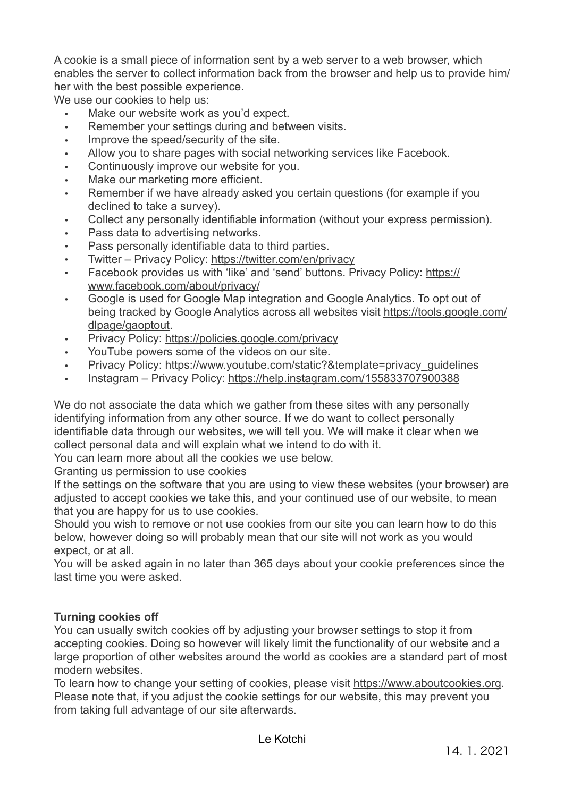A cookie is a small piece of information sent by a web server to a web browser, which enables the server to collect information back from the browser and help us to provide him/ her with the best possible experience.

We use our cookies to help us:

- Make our website work as you'd expect.
- Remember your settings during and between visits.
- Improve the speed/security of the site.
- Allow you to share pages with social networking services like Facebook.
- Continuously improve our website for you.
- Make our marketing more efficient.
- Remember if we have already asked you certain questions (for example if you declined to take a survey).
- Collect any personally identifiable information (without your express permission).
- Pass data to advertising networks.
- Pass personally identifiable data to third parties.
- Twitter Privacy Policy:<https://twitter.com/en/privacy>
- Facebook provides us with 'like' and 'send' buttons. Privacy Policy: [https://](https://www.facebook.com/about/privacy/) [www.facebook.com/about/privacy/](https://www.facebook.com/about/privacy/)
- Google is used for Google Map integration and Google Analytics. To opt out of being tracked by Google Analytics across all websites visit [https://tools.google.com/](https://tools.google.com/dlpage/gaoptout) [dlpage/gaoptout](https://tools.google.com/dlpage/gaoptout).
- Privacy Policy:<https://policies.google.com/privacy>
- YouTube powers some of the videos on our site.
- Privacy Policy: [https://www.youtube.com/static?&template=privacy\\_guidelines](https://www.youtube.com/static?&template=privacy_guidelines)
- Instagram Privacy Policy:<https://help.instagram.com/155833707900388>

We do not associate the data which we gather from these sites with any personally identifying information from any other source. If we do want to collect personally identifiable data through our websites, we will tell you. We will make it clear when we collect personal data and will explain what we intend to do with it.

You can learn more about all the cookies we use below.

Granting us permission to use cookies

If the settings on the software that you are using to view these websites (your browser) are adjusted to accept cookies we take this, and your continued use of our website, to mean that you are happy for us to use cookies.

Should you wish to remove or not use cookies from our site you can learn how to do this below, however doing so will probably mean that our site will not work as you would expect, or at all.

You will be asked again in no later than 365 days about your cookie preferences since the last time you were asked.

### **Turning cookies off**

You can usually switch cookies off by adjusting your browser settings to stop it from accepting cookies. Doing so however will likely limit the functionality of our website and a large proportion of other websites around the world as cookies are a standard part of most modern websites.

To learn how to change your setting of cookies, please visit [https://www.aboutcookies.org](https://www.aboutcookies.org/). Please note that, if you adjust the cookie settings for our website, this may prevent you from taking full advantage of our site afterwards.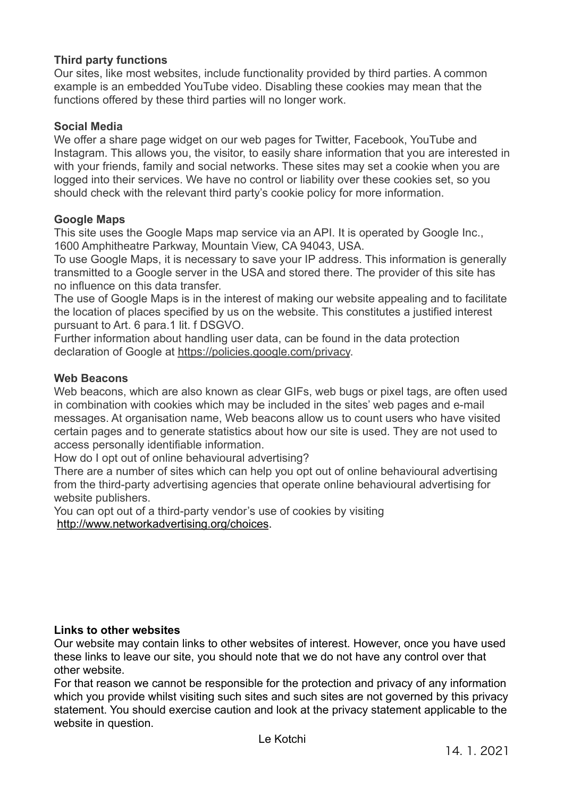### **Third party functions**

Our sites, like most websites, include functionality provided by third parties. A common example is an embedded YouTube video. Disabling these cookies may mean that the functions offered by these third parties will no longer work.

#### **Social Media**

We offer a share page widget on our web pages for Twitter, Facebook, YouTube and Instagram. This allows you, the visitor, to easily share information that you are interested in with your friends, family and social networks. These sites may set a cookie when you are logged into their services. We have no control or liability over these cookies set, so you should check with the relevant third party's cookie policy for more information.

#### **Google Maps**

This site uses the Google Maps map service via an API. It is operated by Google Inc., 1600 Amphitheatre Parkway, Mountain View, CA 94043, USA.

To use Google Maps, it is necessary to save your IP address. This information is generally transmitted to a Google server in the USA and stored there. The provider of this site has no influence on this data transfer.

The use of Google Maps is in the interest of making our website appealing and to facilitate the location of places specified by us on the website. This constitutes a justified interest pursuant to Art. 6 para.1 lit. f DSGVO.

Further information about handling user data, can be found in the data protection declaration of Google at [https://policies.google.com/privacy.](https://policies.google.com/privacy)

#### **Web Beacons**

Web beacons, which are also known as clear GIFs, web bugs or pixel tags, are often used in combination with cookies which may be included in the sites' web pages and e-mail messages. At organisation name, Web beacons allow us to count users who have visited certain pages and to generate statistics about how our site is used. They are not used to access personally identifiable information.

How do I opt out of online behavioural advertising?

There are a number of sites which can help you opt out of online behavioural advertising from the third-party advertising agencies that operate online behavioural advertising for website publishers.

You can opt out of a third-party vendor's use of cookies by visiting <http://www.networkadvertising.org/choices>.

#### **Links to other websites**

Our website may contain links to other websites of interest. However, once you have used these links to leave our site, you should note that we do not have any control over that other website.

For that reason we cannot be responsible for the protection and privacy of any information which you provide whilst visiting such sites and such sites are not governed by this privacy statement. You should exercise caution and look at the privacy statement applicable to the website in question.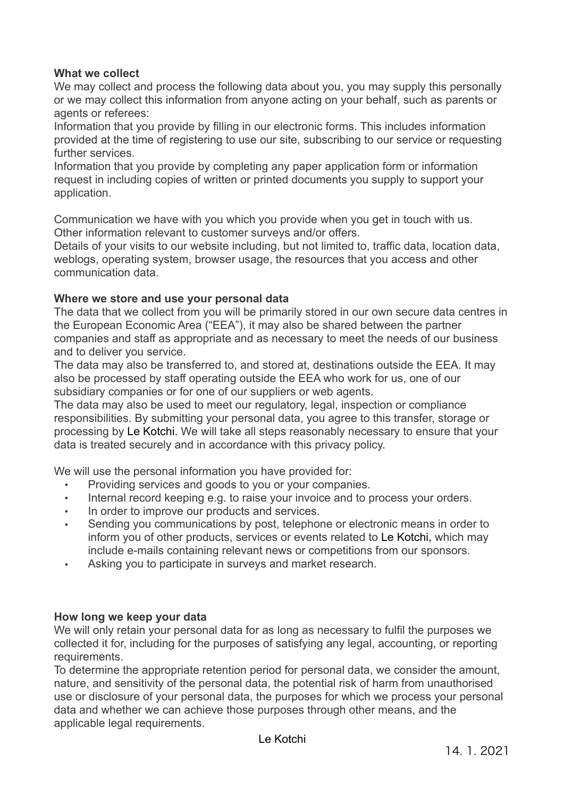### **What we collect**

We may collect and process the following data about you, you may supply this personally or we may collect this information from anyone acting on your behalf, such as parents or agents or referees:

Information that you provide by filling in our electronic forms. This includes information provided at the time of registering to use our site, subscribing to our service or requesting further services.

Information that you provide by completing any paper application form or information request in including copies of written or printed documents you supply to support your application.

Communication we have with you which you provide when you get in touch with us. Other information relevant to customer surveys and/or offers.

Details of your visits to our website including, but not limited to, traffic data, location data, weblogs, operating system, browser usage, the resources that you access and other communication data.

#### **Where we store and use your personal data**

The data that we collect from you will be primarily stored in our own secure data centres in the European Economic Area ("EEA"), it may also be shared between the partner companies and staff as appropriate and as necessary to meet the needs of our business and to deliver you service.

The data may also be transferred to, and stored at, destinations outside the EEA. It may also be processed by staff operating outside the EEA who work for us, one of our subsidiary companies or for one of our suppliers or web agents.

The data may also be used to meet our regulatory, legal, inspection or compliance responsibilities. By submitting your personal data, you agree to this transfer, storage or processing by Le Kotchi. We will take all steps reasonably necessary to ensure that your data is treated securely and in accordance with this privacy policy.

We will use the personal information you have provided for:

- Providing services and goods to you or your companies.
- Internal record keeping e.g. to raise your invoice and to process your orders.
- In order to improve our products and services.
- Sending you communications by post, telephone or electronic means in order to inform you of other products, services or events related to Le Kotchi, which may include e-mails containing relevant news or competitions from our sponsors.
- Asking you to participate in surveys and market research.

#### **How long we keep your data**

We will only retain your personal data for as long as necessary to fulfil the purposes we collected it for, including for the purposes of satisfying any legal, accounting, or reporting requirements.

To determine the appropriate retention period for personal data, we consider the amount, nature, and sensitivity of the personal data, the potential risk of harm from unauthorised use or disclosure of your personal data, the purposes for which we process your personal data and whether we can achieve those purposes through other means, and the applicable legal requirements.

Le Kotchi